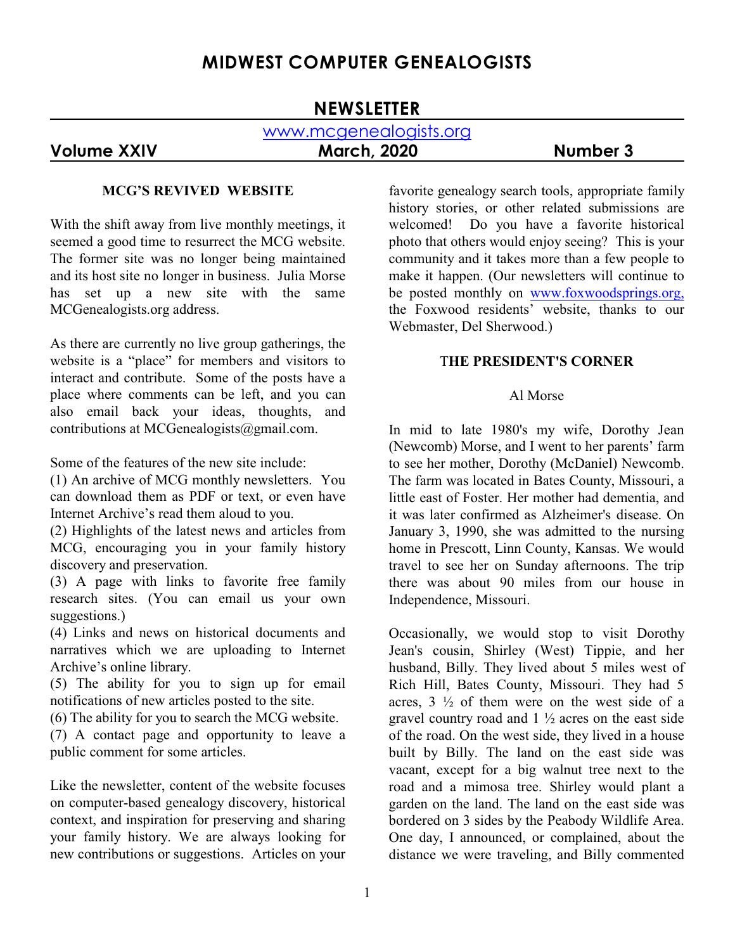# **MIDWEST COMPUTER GENEALOGISTS**

# **NEWSLETTER**

# www.mcgenealogists.org

## **Volume XXIV March, 2020 Number 3**

#### **MCG'S REVIVED WEBSITE**

With the shift away from live monthly meetings, it seemed a good time to resurrect the MCG website. The former site was no longer being maintained and its host site no longer in business. Julia Morse has set up a new site with the same MCGenealogists.org address.

As there are currently no live group gatherings, the website is a "place" for members and visitors to interact and contribute. Some of the posts have a place where comments can be left, and you can also email back your ideas, thoughts, and contributions at MCGenealogists@gmail.com.

Some of the features of the new site include:

(1) An archive of MCG monthly newsletters. You can download them as PDF or text, or even have Internet Archive's read them aloud to you.

(2) Highlights of the latest news and articles from MCG, encouraging you in your family history discovery and preservation.

(3) A page with links to favorite free family research sites. (You can email us your own suggestions.)

(4) Links and news on historical documents and narratives which we are uploading to Internet Archive's online library.

(5) The ability for you to sign up for email notifications of new articles posted to the site.

(6) The ability for you to search the MCG website.

(7) A contact page and opportunity to leave a public comment for some articles.

Like the newsletter, content of the website focuses on computer-based genealogy discovery, historical context, and inspiration for preserving and sharing your family history. We are always looking for new contributions or suggestions. Articles on your favorite genealogy search tools, appropriate family history stories, or other related submissions are welcomed! Do you have a favorite historical photo that others would enjoy seeing? This is your community and it takes more than a few people to make it happen. (Our newsletters will continue to be posted monthly on [www.foxwoodsprings.org,](http://www.foxwoodsprings.org,) the Foxwood residents' website, thanks to our Webmaster, Del Sherwood.)

#### T**HE PRESIDENT'S CORNER**

#### Al Morse

In mid to late 1980's my wife, Dorothy Jean (Newcomb) Morse, and I went to her parents' farm to see her mother, Dorothy (McDaniel) Newcomb. The farm was located in Bates County, Missouri, a little east of Foster. Her mother had dementia, and it was later confirmed as Alzheimer's disease. On January 3, 1990, she was admitted to the nursing home in Prescott, Linn County, Kansas. We would travel to see her on Sunday afternoons. The trip there was about 90 miles from our house in Independence, Missouri.

Occasionally, we would stop to visit Dorothy Jean's cousin, Shirley (West) Tippie, and her husband, Billy. They lived about 5 miles west of Rich Hill, Bates County, Missouri. They had 5 acres,  $3\frac{1}{2}$  of them were on the west side of a gravel country road and  $1\frac{1}{2}$  acres on the east side of the road. On the west side, they lived in a house built by Billy. The land on the east side was vacant, except for a big walnut tree next to the road and a mimosa tree. Shirley would plant a garden on the land. The land on the east side was bordered on 3 sides by the Peabody Wildlife Area. One day, I announced, or complained, about the distance we were traveling, and Billy commented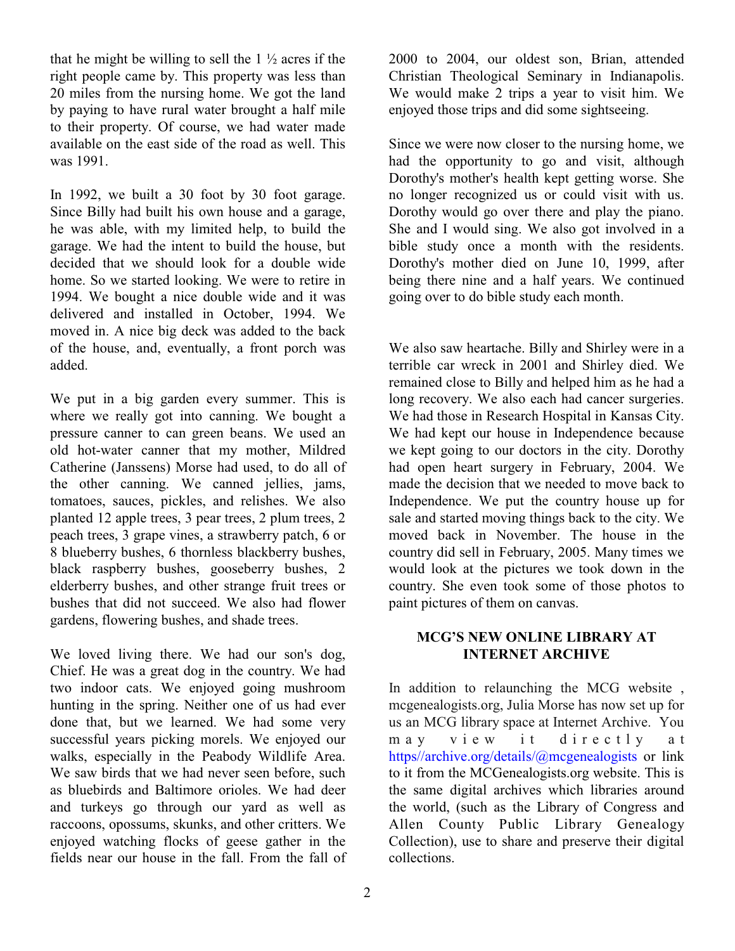that he might be willing to sell the  $1\frac{1}{2}$  acres if the right people came by. This property was less than 20 miles from the nursing home. We got the land by paying to have rural water brought a half mile to their property. Of course, we had water made available on the east side of the road as well. This was 1991.

In 1992, we built a 30 foot by 30 foot garage. Since Billy had built his own house and a garage, he was able, with my limited help, to build the garage. We had the intent to build the house, but decided that we should look for a double wide home. So we started looking. We were to retire in 1994. We bought a nice double wide and it was delivered and installed in October, 1994. We moved in. A nice big deck was added to the back of the house, and, eventually, a front porch was added.

We put in a big garden every summer. This is where we really got into canning. We bought a pressure canner to can green beans. We used an old hot-water canner that my mother, Mildred Catherine (Janssens) Morse had used, to do all of the other canning. We canned jellies, jams, tomatoes, sauces, pickles, and relishes. We also planted 12 apple trees, 3 pear trees, 2 plum trees, 2 peach trees, 3 grape vines, a strawberry patch, 6 or 8 blueberry bushes, 6 thornless blackberry bushes, black raspberry bushes, gooseberry bushes, 2 elderberry bushes, and other strange fruit trees or bushes that did not succeed. We also had flower gardens, flowering bushes, and shade trees.

We loved living there. We had our son's dog, Chief. He was a great dog in the country. We had two indoor cats. We enjoyed going mushroom hunting in the spring. Neither one of us had ever done that, but we learned. We had some very successful years picking morels. We enjoyed our walks, especially in the Peabody Wildlife Area. We saw birds that we had never seen before, such as bluebirds and Baltimore orioles. We had deer and turkeys go through our yard as well as raccoons, opossums, skunks, and other critters. We enjoyed watching flocks of geese gather in the fields near our house in the fall. From the fall of 2000 to 2004, our oldest son, Brian, attended Christian Theological Seminary in Indianapolis. We would make 2 trips a year to visit him. We enjoyed those trips and did some sightseeing.

Since we were now closer to the nursing home, we had the opportunity to go and visit, although Dorothy's mother's health kept getting worse. She no longer recognized us or could visit with us. Dorothy would go over there and play the piano. She and I would sing. We also got involved in a bible study once a month with the residents. Dorothy's mother died on June 10, 1999, after being there nine and a half years. We continued going over to do bible study each month.

We also saw heartache. Billy and Shirley were in a terrible car wreck in 2001 and Shirley died. We remained close to Billy and helped him as he had a long recovery. We also each had cancer surgeries. We had those in Research Hospital in Kansas City. We had kept our house in Independence because we kept going to our doctors in the city. Dorothy had open heart surgery in February, 2004. We made the decision that we needed to move back to Independence. We put the country house up for sale and started moving things back to the city. We moved back in November. The house in the country did sell in February, 2005. Many times we would look at the pictures we took down in the country. She even took some of those photos to paint pictures of them on canvas.

## **MCG'S NEW ONLINE LIBRARY AT INTERNET ARCHIVE**

In addition to relaunching the MCG website , mcgenealogists.org, Julia Morse has now set up for us an MCG library space at Internet Archive. You m a y v i e w i t d i r e c t l y a t [https//archive.org/details/@mcgenealogists](https://archive.org/details/@mcgenealogists) or link to it from the MCGenealogists.org website. This is the same digital archives which libraries around the world, (such as the Library of Congress and Allen County Public Library Genealogy Collection), use to share and preserve their digital collections.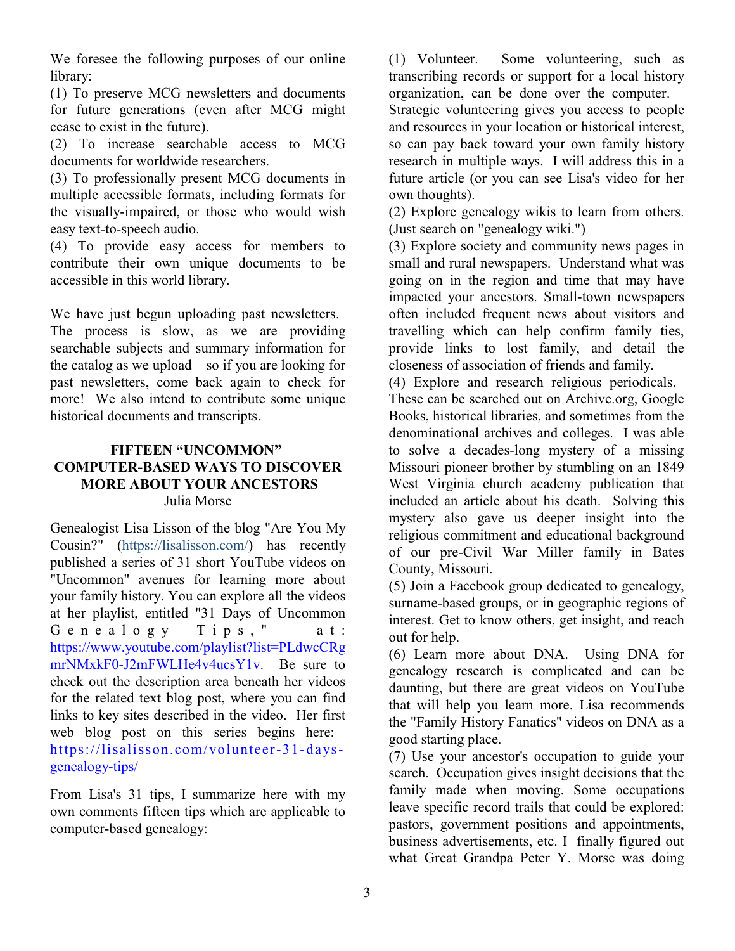We foresee the following purposes of our online library:

(1) To preserve MCG newsletters and documents for future generations (even after MCG might cease to exist in the future).

(2) To increase searchable access to MCG documents for worldwide researchers.

(3) To professionally present MCG documents in multiple accessible formats, including formats for the visually-impaired, or those who would wish easy text-to-speech audio.

(4) To provide easy access for members to contribute their own unique documents to be accessible in this world library.

We have just begun uploading past newsletters. The process is slow, as we are providing searchable subjects and summary information for the catalog as we upload—so if you are looking for past newsletters, come back again to check for more! We also intend to contribute some unique historical documents and transcripts.

## **FIFTEEN "UNCOMMON" COMPUTER-BASED WAYS TO DISCOVER MORE ABOUT YOUR ANCESTORS** Julia Morse

Genealogist Lisa Lisson of the blog "Are You My Cousin?" [\(https://lisalisson.com/](https://lisalisson.com/)) has recently published a series of 31 short YouTube videos on "Uncommon" avenues for learning more about your family history. You can explore all the videos at her playlist, entitled "31 Days of Uncommon  $G$  e n e a  $log y$  T i p s , "at : [https://www.youtube.com/playlist?list=PLdwcCRg](https://www.youtube.com/playlist?list=PLdwcCRgmrNMxkF0-J2mFWLHe4v4ucsY1v) [mrNMxkF0-J2mFWLHe4v4ucsY1v](https://www.youtube.com/playlist?list=PLdwcCRgmrNMxkF0-J2mFWLHe4v4ucsY1v). Be sure to check out the description area beneath her videos for the related text blog post, where you can find links to key sites described in the video. Her first web blog post on this series begins here: [https://lisalisson.com/volunteer-31-days](https://lisalisson.com/volunteer-31-days-genealogy-tips/)[genealogy-tips/](https://lisalisson.com/volunteer-31-days-genealogy-tips/) 

From Lisa's 31 tips, I summarize here with my own comments fifteen tips which are applicable to computer-based genealogy:

(1) Volunteer. Some volunteering, such as transcribing records or support for a local history organization, can be done over the computer.

Strategic volunteering gives you access to people and resources in your location or historical interest, so can pay back toward your own family history research in multiple ways. I will address this in a future article (or you can see Lisa's video for her own thoughts).

(2) Explore genealogy wikis to learn from others. (Just search on "genealogy wiki.")

(3) Explore society and community news pages in small and rural newspapers. Understand what was going on in the region and time that may have impacted your ancestors. Small-town newspapers often included frequent news about visitors and travelling which can help confirm family ties, provide links to lost family, and detail the closeness of association of friends and family.

(4) Explore and research religious periodicals.

These can be searched out on Archive.org, Google Books, historical libraries, and sometimes from the denominational archives and colleges. I was able to solve a decades-long mystery of a missing Missouri pioneer brother by stumbling on an 1849 West Virginia church academy publication that included an article about his death. Solving this mystery also gave us deeper insight into the religious commitment and educational background of our pre-Civil War Miller family in Bates County, Missouri.

(5) Join a Facebook group dedicated to genealogy, surname-based groups, or in geographic regions of interest. Get to know others, get insight, and reach out for help.

(6) Learn more about DNA. Using DNA for genealogy research is complicated and can be daunting, but there are great videos on YouTube that will help you learn more. Lisa recommends the "Family History Fanatics" videos on DNA as a good starting place.

(7) Use your ancestor's occupation to guide your search. Occupation gives insight decisions that the family made when moving. Some occupations leave specific record trails that could be explored: pastors, government positions and appointments, business advertisements, etc. I finally figured out what Great Grandpa Peter Y. Morse was doing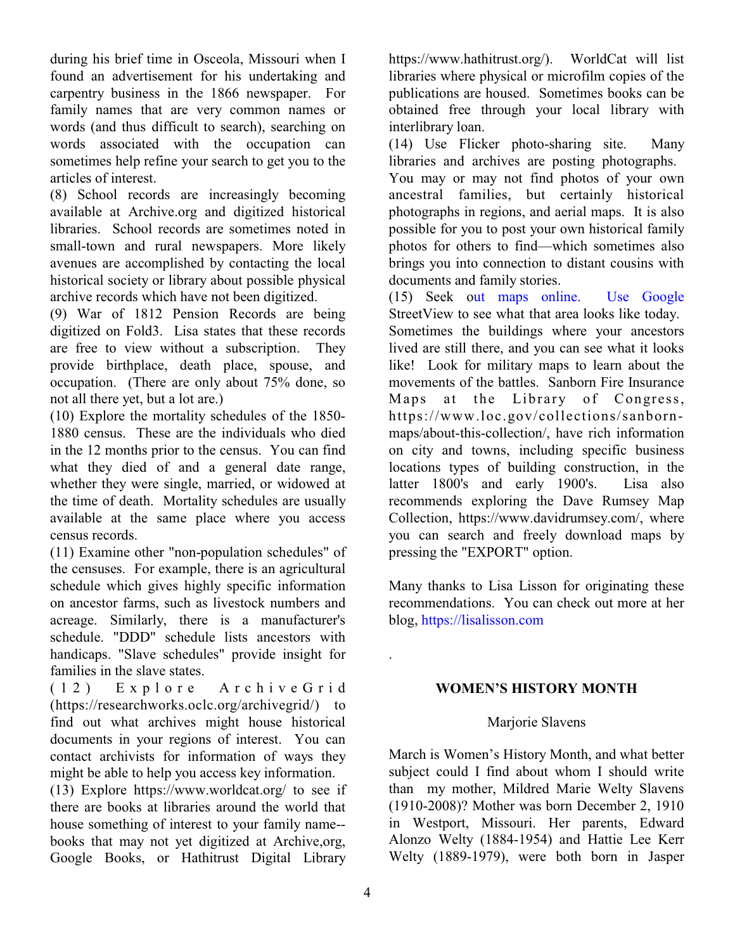during his brief time in Osceola, Missouri when I found an advertisement for his undertaking and carpentry business in the 1866 newspaper. For family names that are very common names or words (and thus difficult to search), searching on words associated with the occupation can sometimes help refine your search to get you to the articles of interest.

(8) School records are increasingly becoming available at Archive.org and digitized historical libraries. School records are sometimes noted in small-town and rural newspapers. More likely avenues are accomplished by contacting the local historical society or library about possible physical archive records which have not been digitized.

(9) War of 1812 Pension Records are being digitized on Fold3. Lisa states that these records are free to view without a subscription. They provide birthplace, death place, spouse, and occupation. (There are only about 75% done, so not all there yet, but a lot are.)

(10) Explore the mortality schedules of the 1850- 1880 census. These are the individuals who died in the 12 months prior to the census. You can find what they died of and a general date range, whether they were single, married, or widowed at the time of death. Mortality schedules are usually available at the same place where you access census records.

(11) Examine other "non-population schedules" of the censuses. For example, there is an agricultural schedule which gives highly specific information on ancestor farms, such as livestock numbers and acreage. Similarly, there is a manufacturer's schedule. "DDD" schedule lists ancestors with handicaps. "Slave schedules" provide insight for families in the slave states.

( 1 2 ) E x p l o r e A r c h i v e G r i d [\(https://researchworks.oclc.org/archivegrid/](https://researchworks.oclc.org/archivegrid/)) to find out what archives might house historical documents in your regions of interest. You can contact archivists for information of ways they might be able to help you access key information.

(13) Explore <https://www.worldcat.org/> to see if there are books at libraries around the world that house something of interest to your family name- books that may not yet digitized at Archive,org, Google Books, or Hathitrust Digital Library

<https://www.hathitrust.org/>). WorldCat will list libraries where physical or microfilm copies of the publications are housed. Sometimes books can be obtained free through your local library with interlibrary loan.

(14) Use Flicker photo-sharing site. Many libraries and archives are posting photographs.

You may or may not find photos of your own ancestral families, but certainly historical photographs in regions, and aerial maps. It is also possible for you to post your own historical family photos for others to find—which sometimes also brings you into connection to distant cousins with documents and family stories.

(15) Seek out maps online. Use Google StreetView to see what that area looks like today. Sometimes the buildings where your ancestors lived are still there, and you can see what it looks like! Look for military maps to learn about the movements of the battles. Sanborn Fire Insurance Maps at the Library of Congress, [https://www.loc.gov/collections/sanborn](https://www.loc.gov/collections/sanborn-maps/about-this-collection/)[maps/about-this-collection/](https://www.loc.gov/collections/sanborn-maps/about-this-collection/), have rich information on city and towns, including specific business locations types of building construction, in the latter 1800's and early 1900's. Lisa also recommends exploring the Dave Rumsey Map Collection, <https://www.davidrumsey.com/>, where you can search and freely download maps by pressing the "EXPORT" option.

Many thanks to Lisa Lisson for originating these recommendations. You can check out more at her blog,<https://lisalisson.com>

.

### **WOMEN'S HISTORY MONTH**

### Marjorie Slavens

March is Women's History Month, and what better subject could I find about whom I should write than my mother, Mildred Marie Welty Slavens (1910-2008)? Mother was born December 2, 1910 in Westport, Missouri. Her parents, Edward Alonzo Welty (1884-1954) and Hattie Lee Kerr Welty (1889-1979), were both born in Jasper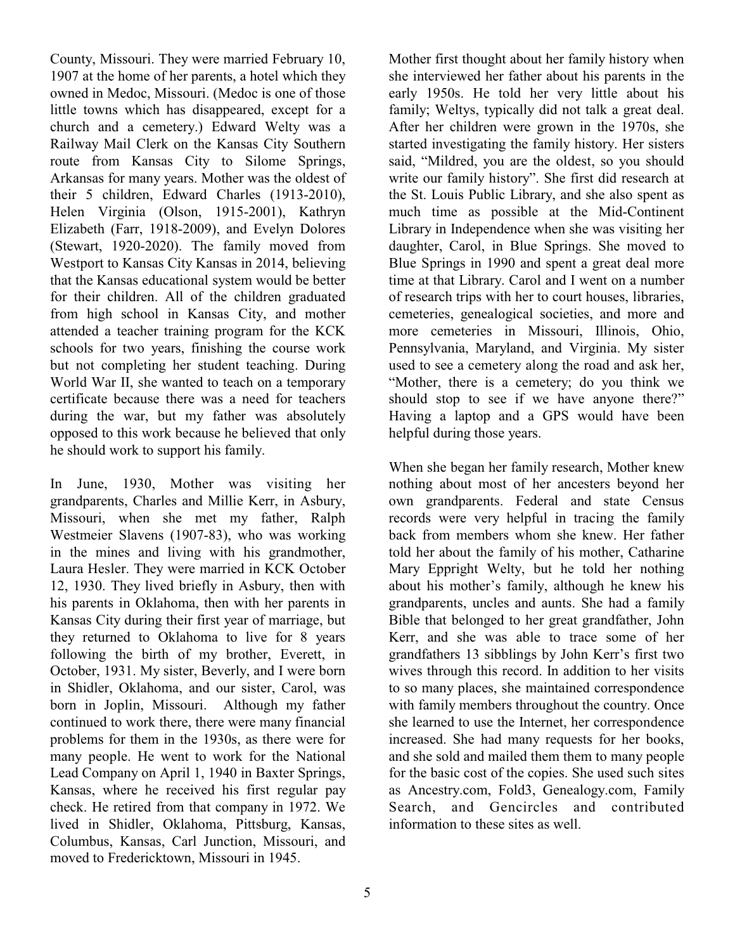County, Missouri. They were married February 10, 1907 at the home of her parents, a hotel which they owned in Medoc, Missouri. (Medoc is one of those little towns which has disappeared, except for a church and a cemetery.) Edward Welty was a Railway Mail Clerk on the Kansas City Southern route from Kansas City to Silome Springs, Arkansas for many years. Mother was the oldest of their 5 children, Edward Charles (1913-2010), Helen Virginia (Olson, 1915-2001), Kathryn Elizabeth (Farr, 1918-2009), and Evelyn Dolores (Stewart, 1920-2020). The family moved from Westport to Kansas City Kansas in 2014, believing that the Kansas educational system would be better for their children. All of the children graduated from high school in Kansas City, and mother attended a teacher training program for the KCK schools for two years, finishing the course work but not completing her student teaching. During World War II, she wanted to teach on a temporary certificate because there was a need for teachers during the war, but my father was absolutely opposed to this work because he believed that only he should work to support his family.

In June, 1930, Mother was visiting her grandparents, Charles and Millie Kerr, in Asbury, Missouri, when she met my father, Ralph Westmeier Slavens (1907-83), who was working in the mines and living with his grandmother, Laura Hesler. They were married in KCK October 12, 1930. They lived briefly in Asbury, then with his parents in Oklahoma, then with her parents in Kansas City during their first year of marriage, but they returned to Oklahoma to live for 8 years following the birth of my brother, Everett, in October, 1931. My sister, Beverly, and I were born in Shidler, Oklahoma, and our sister, Carol, was born in Joplin, Missouri. Although my father continued to work there, there were many financial problems for them in the 1930s, as there were for many people. He went to work for the National Lead Company on April 1, 1940 in Baxter Springs, Kansas, where he received his first regular pay check. He retired from that company in 1972. We lived in Shidler, Oklahoma, Pittsburg, Kansas, Columbus, Kansas, Carl Junction, Missouri, and moved to Fredericktown, Missouri in 1945.

Mother first thought about her family history when she interviewed her father about his parents in the early 1950s. He told her very little about his family; Weltys, typically did not talk a great deal. After her children were grown in the 1970s, she started investigating the family history. Her sisters said, "Mildred, you are the oldest, so you should write our family history". She first did research at the St. Louis Public Library, and she also spent as much time as possible at the Mid-Continent Library in Independence when she was visiting her daughter, Carol, in Blue Springs. She moved to Blue Springs in 1990 and spent a great deal more time at that Library. Carol and I went on a number of research trips with her to court houses, libraries, cemeteries, genealogical societies, and more and more cemeteries in Missouri, Illinois, Ohio, Pennsylvania, Maryland, and Virginia. My sister used to see a cemetery along the road and ask her, "Mother, there is a cemetery; do you think we should stop to see if we have anyone there?" Having a laptop and a GPS would have been helpful during those years.

When she began her family research, Mother knew nothing about most of her ancesters beyond her own grandparents. Federal and state Census records were very helpful in tracing the family back from members whom she knew. Her father told her about the family of his mother, Catharine Mary Eppright Welty, but he told her nothing about his mother's family, although he knew his grandparents, uncles and aunts. She had a family Bible that belonged to her great grandfather, John Kerr, and she was able to trace some of her grandfathers 13 sibblings by John Kerr's first two wives through this record. In addition to her visits to so many places, she maintained correspondence with family members throughout the country. Once she learned to use the Internet, her correspondence increased. She had many requests for her books, and she sold and mailed them them to many people for the basic cost of the copies. She used such sites as Ancestry.com, Fold3, Genealogy.com, Family Search, and Gencircles and contributed information to these sites as well.